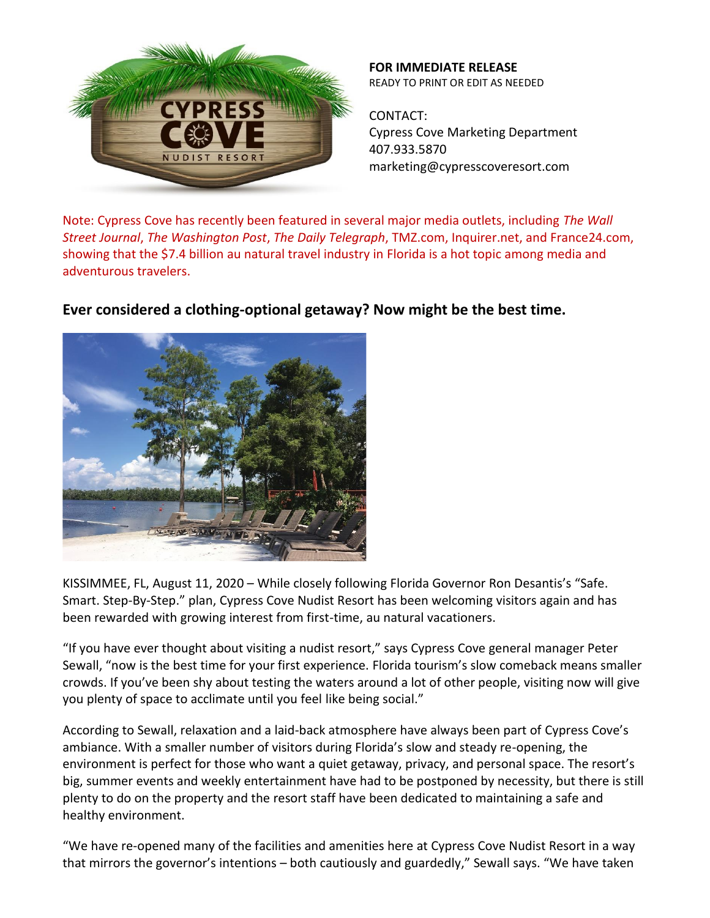

**FOR IMMEDIATE RELEASE** READY TO PRINT OR EDIT AS NEEDED

CONTACT: Cypress Cove Marketing Department 407.933.5870 marketing@cypresscoveresort.com

Note: Cypress Cove has recently been featured in several major media outlets, including *The Wall Street Journal*, *The Washington Post*, *The Daily Telegraph*, TMZ.com, Inquirer.net, and France24.com, showing that the \$7.4 billion au natural travel industry in Florida is a hot topic among media and adventurous travelers.



**Ever considered a clothing-optional getaway? Now might be the best time.**

KISSIMMEE, FL, August 11, 2020 – While closely following Florida Governor Ron Desantis's "Safe. Smart. Step-By-Step." plan, Cypress Cove Nudist Resort has been welcoming visitors again and has been rewarded with growing interest from first-time, au natural vacationers.

"If you have ever thought about visiting a nudist resort," says Cypress Cove general manager Peter Sewall, "now is the best time for your first experience. Florida tourism's slow comeback means smaller crowds. If you've been shy about testing the waters around a lot of other people, visiting now will give you plenty of space to acclimate until you feel like being social."

According to Sewall, relaxation and a laid-back atmosphere have always been part of Cypress Cove's ambiance. With a smaller number of visitors during Florida's slow and steady re-opening, the environment is perfect for those who want a quiet getaway, privacy, and personal space. The resort's big, summer events and weekly entertainment have had to be postponed by necessity, but there is still plenty to do on the property and the resort staff have been dedicated to maintaining a safe and healthy environment.

"We have re-opened many of the facilities and amenities here at Cypress Cove Nudist Resort in a way that mirrors the governor's intentions – both cautiously and guardedly," Sewall says. "We have taken